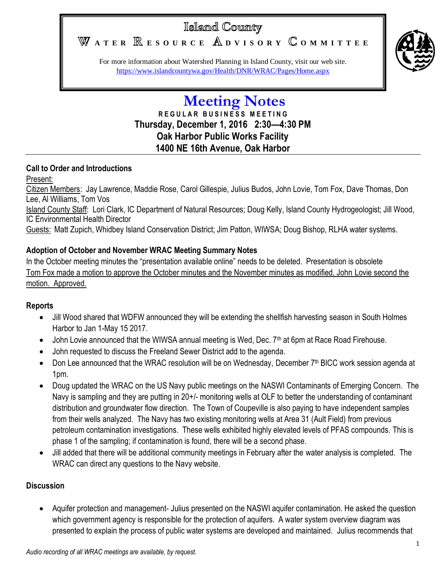# Island County

WATER **RESOURCE** ADVISORY COMMITTEE



For more information about Watershed Planning in Island County, visit our web site. <https://www.islandcountywa.gov/Health/DNR/WRAC/Pages/Home.aspx>

# **Meeting Notes R E G U L A R B U S I N E S S M E E T I N G Thursday, December 1, 2016 2:30—4:30 PM Oak Harbor Public Works Facility 1400 NE 16th Avenue, Oak Harbor**

# **Call to Order and Introductions**

# Present:

Citizen Members: Jay Lawrence, Maddie Rose, Carol Gillespie, Julius Budos, John Lovie, Tom Fox, Dave Thomas, Don Lee, Al Williams, Tom Vos

Island County Staff: Lori Clark, IC Department of Natural Resources; Doug Kelly, Island County Hydrogeologist; Jill Wood, IC Environmental Health Director

Guests: Matt Zupich, Whidbey Island Conservation District; Jim Patton, WIWSA; Doug Bishop, RLHA water systems.

# **Adoption of October and November WRAC Meeting Summary Notes**

In the October meeting minutes the "presentation available online" needs to be deleted. Presentation is obsolete Tom Fox made a motion to approve the October minutes and the November minutes as modified, John Lovie second the motion. Approved.

# **Reports**

- Jill Wood shared that WDFW announced they will be extending the shellfish harvesting season in South Holmes Harbor to Jan 1-May 15 2017.
- John Lovie announced that the WIWSA annual meeting is Wed, Dec. 7<sup>th</sup> at 6pm at Race Road Firehouse.
- John requested to discuss the Freeland Sewer District add to the agenda.
- Don Lee announced that the WRAC resolution will be on Wednesday, December 7<sup>th</sup> BICC work session agenda at 1pm.
- Doug updated the WRAC on the US Navy public meetings on the NASWI Contaminants of Emerging Concern. The Navy is sampling and they are putting in 20+/- monitoring wells at OLF to better the understanding of contaminant distribution and groundwater flow direction. The Town of Coupeville is also paying to have independent samples from their wells analyzed. The Navy has two existing monitoring wells at Area 31 (Ault Field) from previous petroleum contamination investigations. These wells exhibited highly elevated levels of PFAS compounds. This is phase 1 of the sampling; if contamination is found, there will be a second phase.
- Jill added that there will be additional community meetings in February after the water analysis is completed. The WRAC can direct any questions to the Navy website.

# **Discussion**

 Aquifer protection and management- Julius presented on the NASWI aquifer contamination. He asked the question which government agency is responsible for the protection of aquifers. A water system overview diagram was presented to explain the process of public water systems are developed and maintained. Julius recommends that